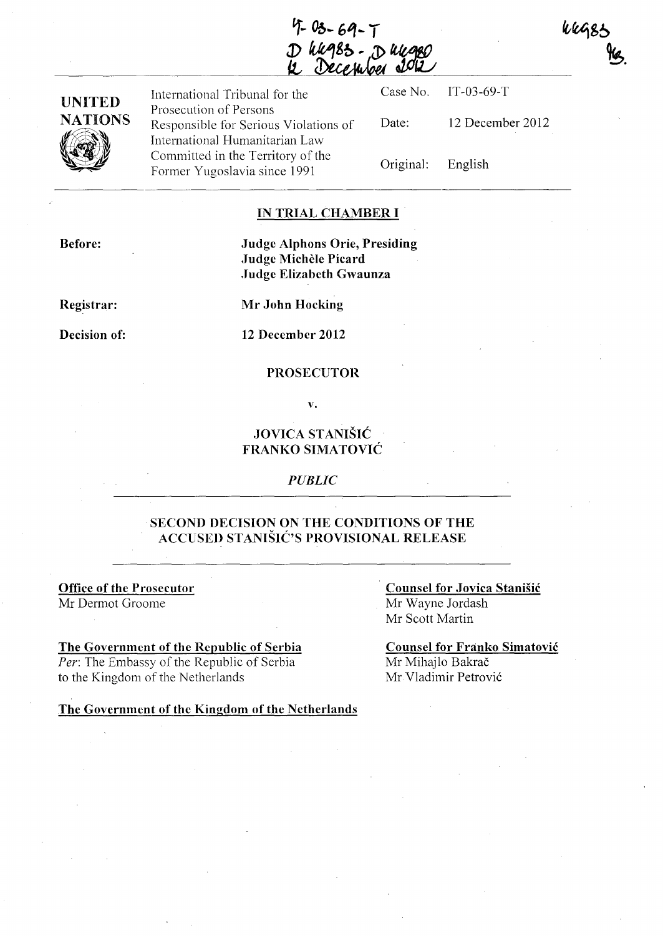$4 - 69 - 7$ D huges. Dunger

| <b>UNITED</b>       | International Tribunal for the                                                                    |                   | Case No. IT-03-69-T |
|---------------------|---------------------------------------------------------------------------------------------------|-------------------|---------------------|
| <b>NATIONS</b><br>V | Prosecution of Persons<br>Responsible for Serious Violations of<br>International Humanitarian Law | Date:             | 12 December 2012    |
|                     | Committed in the Territory of the<br>Former Yugoslavia since 1991                                 | Original: English |                     |

#### **IN TRIAL CHAMBER I**

**Before:** 

### **Judge Alphons** Orie, Presiding **Judge Michele Picard .Judge Elizabeth Gwaunza**

**Registrar:** 

**Mr John Hocking** 

**Decision of:** 

**12 December 2012** 

#### **PROSECUTOR**

**v.** 

## **JOVICA** STANiŠiĆ **FRANKO** SIMATOVIĆ

#### *PUBLIC*

### **SECOND DECISION ON THE CONDITIONS OF THE ACCUSED** STANIŠIĆ'S **PROVISIONAL RELEASE**

**Office of the Prosecutor**  Mr Dermot Oroome

#### **The Government of the Republic of Serbia**

*Per:* The Embassy of the Republic of Serbia to the Kingdom of the Netherlands

**The Government of the Kingdom of the Netherlands** 

### **Counsel for Jovica** Stanišić Mr Wayne Jordash Mr Scott Martin

**Counsel for Franko** Simatović Mr Mihajlo Bakrač Mr Vladimir Petrović

**Weggs**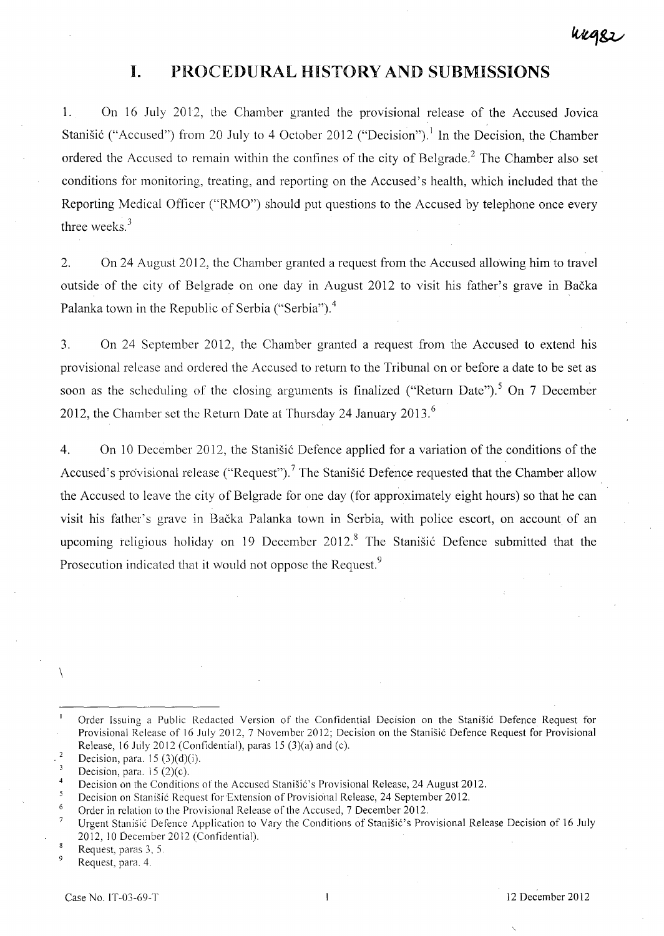# **I. PROCEDURAL HISTORY AND SUBMISSIONS**

1. On 16 July 2012, the Chamber granted the provisional release of the Accused Jovica Stanišić ("Accused") from 20 July to 4 October 2012 ("Decision").<sup>1</sup> In the Decision, the Chamber ordered the Accused to remain within the confines of the city of Belgrade.<sup>2</sup> The Chamber also set conditions for monitoring, treating, and reporting on the Accused's health, which included that the Reporting Medical Officer ("RMO") should put questions to the Accused by telephone once every three weeks. <sup>3</sup>

2. On 24 August 2012, the Chamber granted a request from the Accused allowing him to travel outside of the city of Belgrade on one day in August 2012 to visit his father's grave in Bačka Palanka town in the Republic of Serbia ("Serbia").<sup>4</sup>

3. On 24 September 2012, the Chamber granted a request from the Accused to extend his provisional release and ordered the Accused to return to the Tribunal on or before a date to be set as soon as the scheduling of the closing arguments is finalized ("Return Date").<sup>5</sup> On 7 December 2012, the Chamber set the Return Date at Thursday 24 January 2013.<sup>6</sup>

4. On 10 December 2012, the Stanišić Defence applied for a variation of the conditions of the Accused's provisional release ("Request").<sup>7</sup> The Stanišić Defence requested that the Chamber allow the Accused to leave the city of Belgrade for one day (for approximately eight hours) so that he can visit his father's grave in Bačka Palanka town in Serbia, with police escort, on account of an upcoming religious holiday on 19 December 2012.<sup>8</sup> The Stanišić Defence submitted that the Prosecution indicated that it would not oppose the Request.<sup>9</sup>

9 Request, para. 4.

 $\setminus$ 

Order Issuing a Public Redaeted Version of the Confidential Decision on the Stanišić Defence Request for Provisional Release of 16 July 2012, 7 November 2012; Decision on the Stanišić Defence Request for Provisional Release, 16 July 2012 (Confidential), paras 15 (3)(a) and (c).

 $\overline{\phantom{a}}$ Decision, para.  $15(3)(d)(i)$ .

 $\overline{3}$ Decision, para.  $15(2)(c)$ .

<sup>4</sup>  Decision on the Conditions of the Accused Stanišić's Provisional Release, 24 August 2012.

 $\overline{\mathbf{5}}$ Decision on Stanišić Request for Extension of Provisional Release, 24 September 2012.

<sup>6</sup>  Order in relation to the Provisional Release of the Accused, 7 December 2012.

 $\overline{\phantom{a}}$ Urgent Stanišić Defence Application to Vary the Conditions of Stanišić's Provisional Release Decision of 16 July 2012,10 Deccmber 2012 (Confidential).

 $\bf{8}$ Request, paras 3, 5.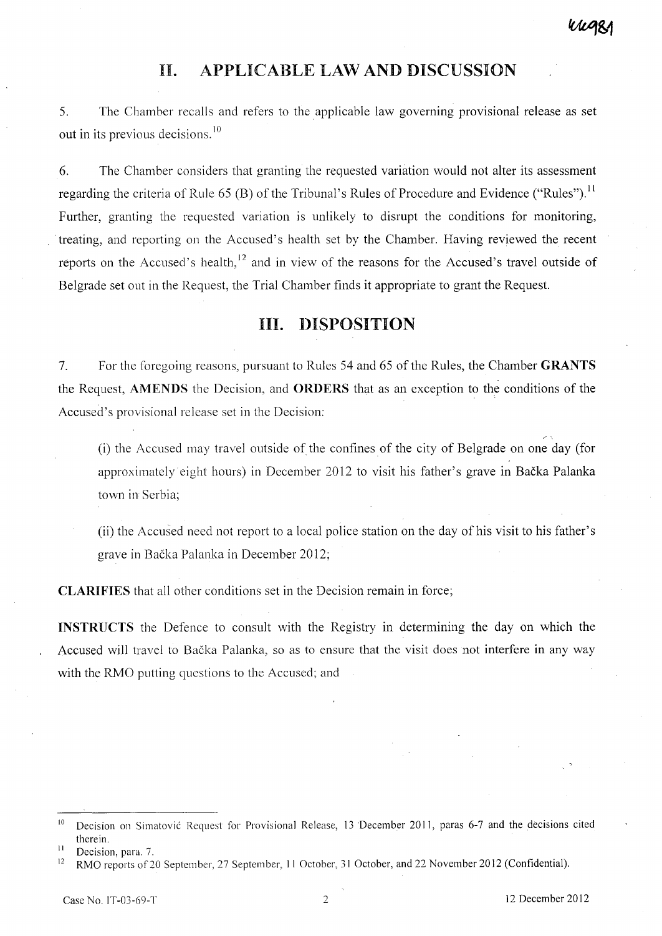# **II. APPLICABLE LAW AND DISCUSSION**

5. The Chamber recalls and refers to the applicable law governing provisional release as set out in its previous decisions. <sup>10</sup>

6. The Chamber considers that granting the requested variation would not alter its assessment regarding the criteria of Rule 65 (B) of the Tribunal's Rules of Procedure and Evidence ("Rules").<sup>11</sup> Further, granting the requested variation is unlikely to disrupt the conditions for monitoring, treating, and reporting on the Accused's health set by the Chamber. Having reviewed the recent reports on the Accused's health, $^{12}$  and in view of the reasons for the Accused's travel outside of Belgrade set out in the Request, the Trial Chamber finds it appropriate to grant the Request.

# **III. DISPOSITION**

7. For the foregoing reasons, pursuant to Rules 54 and 65 of the Rules, the Chamber **GRANTS**  the Request, **AMENDS** the Decision, and **ORDERS** that as an exception to the conditions of the Accused's provisional release set in the Decision:

(i) the Accused may travel outside of the confines of the city of Belgrade on one day (for approximately eight hours) in December 2012 to visit his father's grave in Bačka Palanka town in Serbia;

(ii) the Accused need not report to a local police station on the day of his visit to his father's grave in Bačka Palanka in December 2012;

**CLARIFIES** that all other conditions set in the Decision remain in force;

INSTRUCTS the Defence to consult with the Registry in determining the day on which the Accused will travel to Bačka Palanka, so as to ensure that the visit does not interfere in any way with the RMO putting questions to the Accused; and

<sup>&</sup>lt;sup>10</sup> Decision on Simatović Request for Provisional Release, 13 December 2011, paras 6-7 and the decisions cited therein.

<sup>&</sup>lt;sup>11</sup> Decision, para. 7.

<sup>&</sup>lt;sup>12</sup> RMO reports of 20 September, 27 September, 11 October, 31 October, and 22 November 2012 (Confidential).